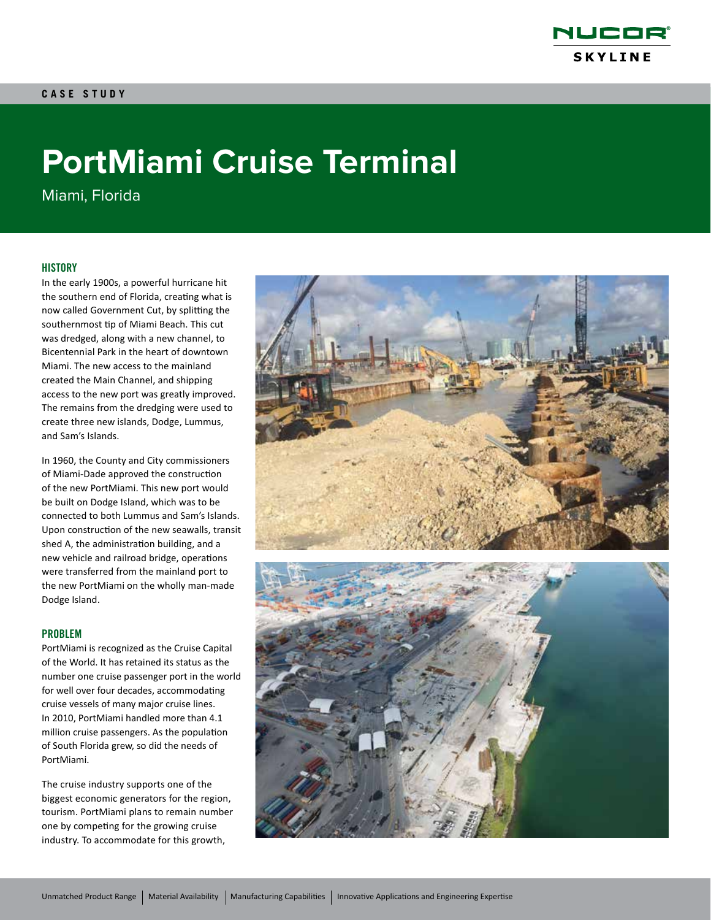

# **PortMiami Cruise Terminal**

Miami, Florida

## **HISTORY**

In the early 1900s, a powerful hurricane hit the southern end of Florida, creating what is now called Government Cut, by splitting the southernmost tip of Miami Beach. This cut was dredged, along with a new channel, to Bicentennial Park in the heart of downtown Miami. The new access to the mainland created the Main Channel, and shipping access to the new port was greatly improved. The remains from the dredging were used to create three new islands, Dodge, Lummus, and Sam's Islands.

In 1960, the County and City commissioners of Miami-Dade approved the construction of the new PortMiami. This new port would be built on Dodge Island, which was to be connected to both Lummus and Sam's Islands. Upon construction of the new seawalls, transit shed A, the administration building, and a new vehicle and railroad bridge, operations were transferred from the mainland port to the new PortMiami on the wholly man-made Dodge Island.

### PROBLEM

PortMiami is recognized as the Cruise Capital of the World. It has retained its status as the number one cruise passenger port in the world for well over four decades, accommodating cruise vessels of many major cruise lines. In 2010, PortMiami handled more than 4.1 million cruise passengers. As the population of South Florida grew, so did the needs of PortMiami.

The cruise industry supports one of the biggest economic generators for the region, tourism. PortMiami plans to remain number one by competing for the growing cruise industry. To accommodate for this growth,